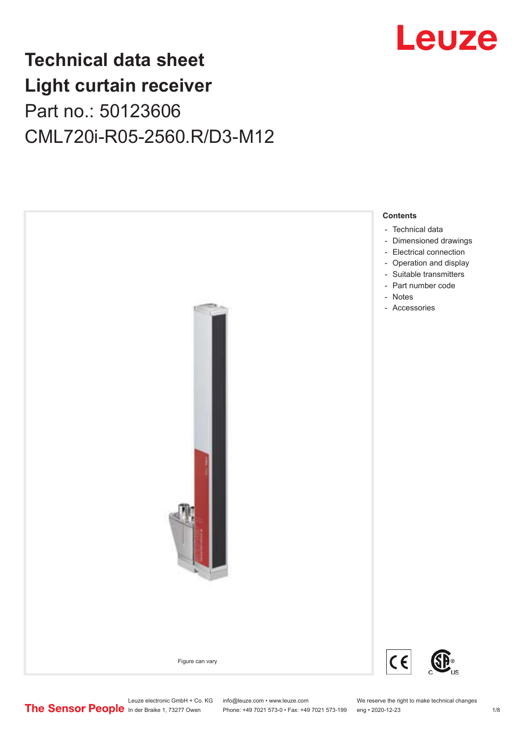## Leuze

## **Technical data sheet Light curtain receiver** Part no.: 50123606 CML720i-R05-2560.R/D3-M12



Leuze electronic GmbH + Co. KG info@leuze.com • www.leuze.com We reserve the right to make technical changes<br>
The Sensor People in der Braike 1, 73277 Owen Phone: +49 7021 573-0 • Fax: +49 7021 573-199 eng • 2020-12-23

Phone: +49 7021 573-0 • Fax: +49 7021 573-199 eng • 2020-12-23 1 /8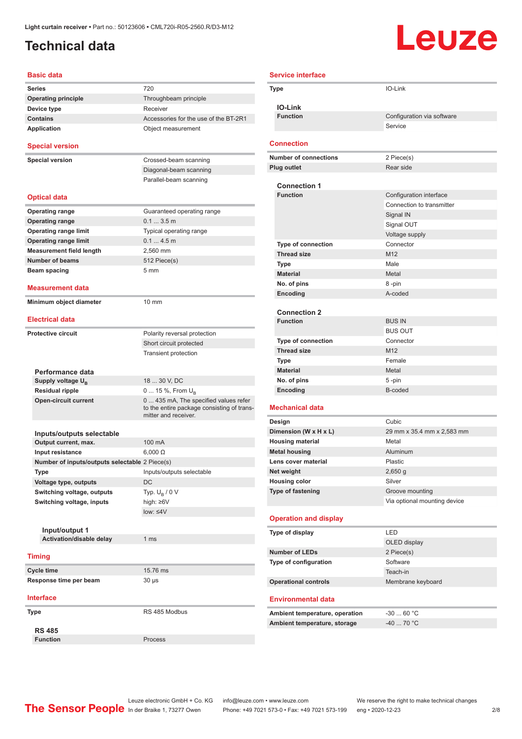### <span id="page-1-0"></span>**Technical data**

# **Leuze**

| <b>Basic data</b>                                       |                                                                    |
|---------------------------------------------------------|--------------------------------------------------------------------|
| <b>Series</b>                                           | 720                                                                |
| <b>Operating principle</b>                              | Throughbeam principle                                              |
| Device type                                             | Receiver                                                           |
| <b>Contains</b>                                         | Accessories for the use of the BT-2R1                              |
| <b>Application</b>                                      | Object measurement                                                 |
| <b>Special version</b>                                  |                                                                    |
| <b>Special version</b>                                  | Crossed-beam scanning                                              |
|                                                         | Diagonal-beam scanning                                             |
|                                                         | Parallel-beam scanning                                             |
| <b>Optical data</b>                                     |                                                                    |
| <b>Operating range</b>                                  | Guaranteed operating range                                         |
| <b>Operating range</b>                                  | 0.13.5m                                                            |
| <b>Operating range limit</b>                            | Typical operating range                                            |
| <b>Operating range limit</b>                            | 0.14.5m                                                            |
| <b>Measurement field length</b>                         | 2.560 mm                                                           |
| <b>Number of beams</b>                                  | 512 Piece(s)                                                       |
| Beam spacing                                            | 5 <sub>mm</sub>                                                    |
|                                                         |                                                                    |
| Measurement data                                        |                                                                    |
| Minimum object diameter                                 | 10 mm                                                              |
| <b>Electrical data</b>                                  |                                                                    |
| <b>Protective circuit</b>                               | Polarity reversal protection                                       |
|                                                         | Short circuit protected                                            |
|                                                         | <b>Transient protection</b>                                        |
|                                                         |                                                                    |
| Performance data                                        | 18  30 V, DC                                                       |
| Supply voltage U <sub>B</sub><br><b>Residual ripple</b> | 0  15 %, From U <sub>B</sub>                                       |
| <b>Open-circuit current</b>                             | 0  435 mA, The specified values refer                              |
|                                                         | to the entire package consisting of trans-<br>mitter and receiver. |
|                                                         |                                                                    |
| Inputs/outputs selectable<br>Output current, max.       | 100 mA                                                             |
| Input resistance                                        | $6,000 \Omega$                                                     |
| Number of inputs/outputs selectable 2 Piece(s)          |                                                                    |
| Type                                                    | Inputs/outputs selectable                                          |
| Voltage type, outputs                                   | DC                                                                 |
| Switching voltage, outputs                              | Typ. U <sub>B</sub> / 0 V                                          |
| Switching voltage, inputs                               | high: $\geq 6V$                                                    |
|                                                         | $low: \leq 4V$                                                     |
|                                                         |                                                                    |
| Input/output 1                                          |                                                                    |
| Activation/disable delay                                | 1 <sub>ms</sub>                                                    |
| <b>Timing</b>                                           |                                                                    |
| <b>Cycle time</b>                                       | 15.76 ms                                                           |
| Response time per beam                                  | $30 \mu s$                                                         |
| <b>Interface</b>                                        |                                                                    |
|                                                         | RS 485 Modbus                                                      |
| Type                                                    |                                                                    |
| <b>RS 485</b>                                           |                                                                    |
| <b>Function</b>                                         | Process                                                            |

| <b>Service interface</b>               |                              |
|----------------------------------------|------------------------------|
| Type                                   | IO-Link                      |
| <b>IO-Link</b>                         |                              |
| <b>Function</b>                        | Configuration via software   |
|                                        | Service                      |
|                                        |                              |
| <b>Connection</b>                      |                              |
| <b>Number of connections</b>           | 2 Piece(s)                   |
| <b>Plug outlet</b>                     | Rear side                    |
|                                        |                              |
| <b>Connection 1</b><br><b>Function</b> |                              |
|                                        | Configuration interface      |
|                                        | Connection to transmitter    |
|                                        | Signal IN                    |
|                                        | Signal OUT                   |
|                                        | Voltage supply               |
| <b>Type of connection</b>              | Connector                    |
| <b>Thread size</b>                     | M <sub>12</sub>              |
| Type                                   | Male                         |
| <b>Material</b>                        | Metal                        |
| No. of pins                            | 8-pin                        |
| Encoding                               | A-coded                      |
|                                        |                              |
| <b>Connection 2</b>                    |                              |
| <b>Function</b>                        | <b>BUS IN</b>                |
|                                        | <b>BUS OUT</b>               |
| Type of connection                     | Connector                    |
| <b>Thread size</b>                     | M <sub>12</sub>              |
| <b>Type</b>                            | Female                       |
| <b>Material</b>                        | Metal                        |
| No. of pins                            | $5 - pin$                    |
| Encoding                               | B-coded                      |
| <b>Mechanical data</b>                 |                              |
| Design                                 | Cubic                        |
| Dimension (W x H x L)                  | 29 mm x 35.4 mm x 2,583 mm   |
| <b>Housing material</b>                | Metal                        |
| <b>Metal housing</b>                   | Aluminum                     |
| Lens cover material                    | Plastic                      |
| Net weight                             | $2,650$ g                    |
| <b>Housing color</b>                   | Silver                       |
| <b>Type of fastening</b>               | Groove mounting              |
|                                        | Via optional mounting device |
| <b>Operation and display</b>           |                              |
|                                        |                              |
| Type of display                        | <b>LED</b>                   |
|                                        | OLED display                 |
| <b>Number of LEDs</b>                  | 2 Piece(s)                   |
| Type of configuration                  | Software                     |
|                                        | Teach-in                     |
| <b>Operational controls</b>            | Membrane keyboard            |
| <b>Environmental data</b>              |                              |
| Ambient temperature, operation         | $-30$ 60 °C                  |
| Ambient temperature, storage           | -40  70 °C                   |
|                                        |                              |

Leuze electronic GmbH + Co. KG info@leuze.com • www.leuze.com We reserve the right to make technical changes In der Braike 1, 73277 Owen Phone: +49 7021 573-0 • Fax: +49 7021 573-199 eng • 2020-12-23 2 /8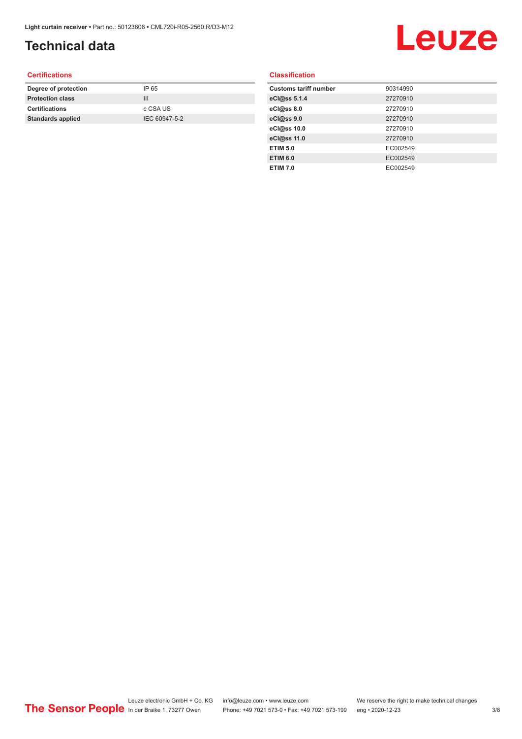### **Technical data**

## Leuze

#### **Certifications**

| Degree of protection     | IP 65         |
|--------------------------|---------------|
| <b>Protection class</b>  | Ш             |
| <b>Certifications</b>    | c CSA US      |
| <b>Standards applied</b> | IEC 60947-5-2 |
|                          |               |

#### **Classification**

| <b>Customs tariff number</b> | 90314990 |
|------------------------------|----------|
| eCl@ss 5.1.4                 | 27270910 |
| eCl@ss 8.0                   | 27270910 |
| eCl@ss 9.0                   | 27270910 |
| eCl@ss 10.0                  | 27270910 |
| eCl@ss 11.0                  | 27270910 |
| <b>ETIM 5.0</b>              | EC002549 |
| <b>ETIM 6.0</b>              | EC002549 |
| <b>ETIM 7.0</b>              | EC002549 |
|                              |          |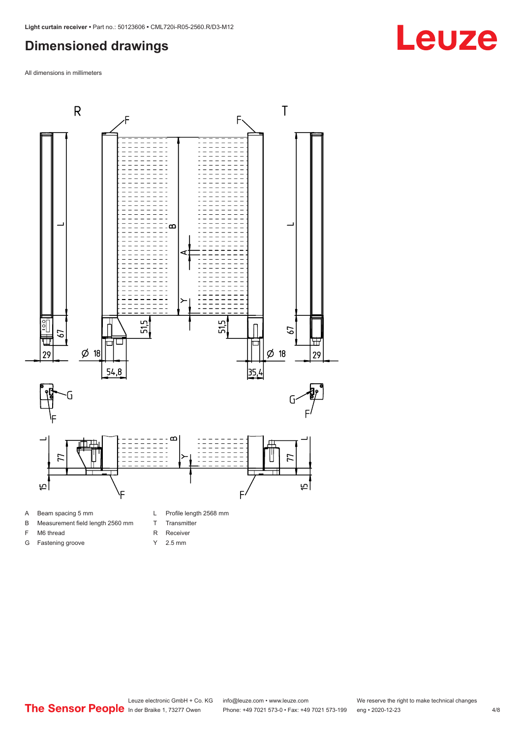#### <span id="page-3-0"></span>**Dimensioned drawings**

All dimensions in millimeters



A Beam spacing 5 mm

G Fastening groove

- B Measurement field length 2560 mm
- F M6 thread
- R Receiver
	- Y 2.5 mm

T Transmitter

**Leuze**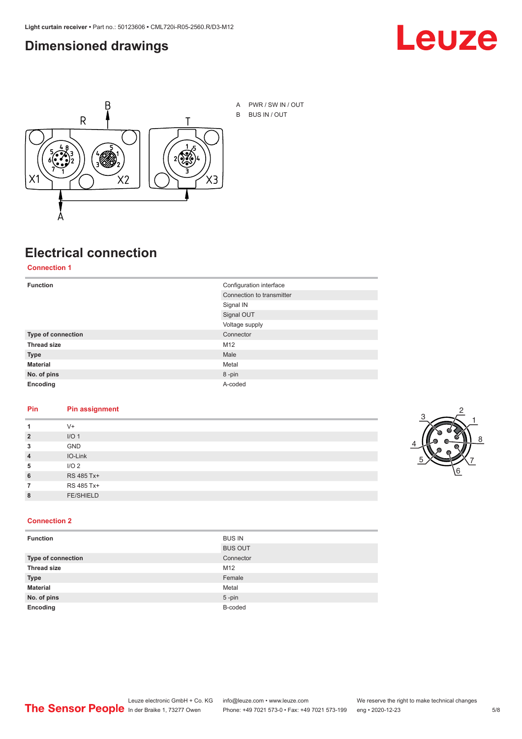#### <span id="page-4-0"></span>**Dimensioned drawings**





## **Electrical connection**

**Connection 1**

| <b>Function</b>    | Configuration interface   |
|--------------------|---------------------------|
|                    | Connection to transmitter |
|                    | Signal IN                 |
|                    | Signal OUT                |
|                    | Voltage supply            |
| Type of connection | Connector                 |
| <b>Thread size</b> | M12                       |
| <b>Type</b>        | Male                      |
| <b>Material</b>    | Metal                     |
| No. of pins        | 8-pin                     |
| Encoding           | A-coded                   |

#### **Pin Pin assignment**

| 1              | $V +$            |  |  |
|----------------|------------------|--|--|
| $\overline{2}$ | I/O <sub>1</sub> |  |  |
| 3              | <b>GND</b>       |  |  |
| $\overline{4}$ | IO-Link          |  |  |
| 5              | I/O <sub>2</sub> |  |  |
| 6              | RS 485 Tx+       |  |  |
| 7              | RS 485 Tx+       |  |  |
| 8              | <b>FE/SHIELD</b> |  |  |
|                |                  |  |  |



#### **Connection 2**

| <b>Function</b>    | <b>BUS IN</b>  |
|--------------------|----------------|
|                    | <b>BUS OUT</b> |
| Type of connection | Connector      |
| <b>Thread size</b> | M12            |
| <b>Type</b>        | Female         |
| <b>Material</b>    | Metal          |
| No. of pins        | $5$ -pin       |
| Encoding           | B-coded        |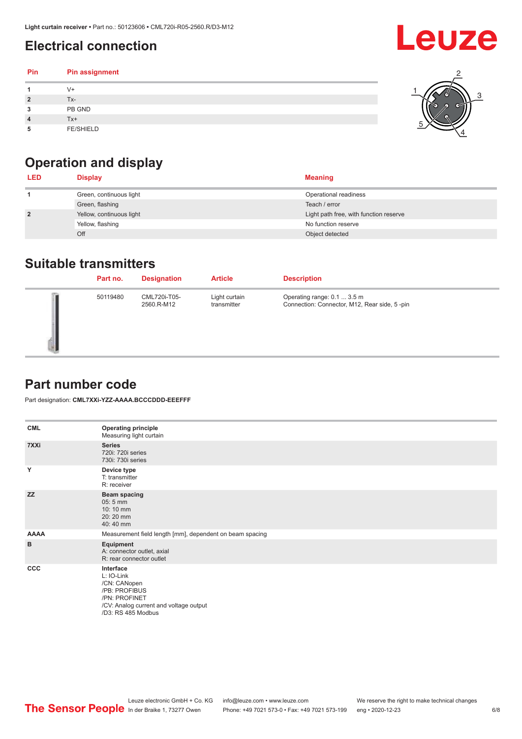### <span id="page-5-0"></span>**Electrical connection**

| Pin | Pin assignment   |  |
|-----|------------------|--|
|     | V+               |  |
| ∍   | Tx-              |  |
| 3   | PB GND           |  |
|     | Tx+              |  |
| 5   | <b>FE/SHIELD</b> |  |

### **Operation and display**

| <b>LED</b>     | <b>Display</b>           | <b>Meaning</b>                         |
|----------------|--------------------------|----------------------------------------|
|                | Green, continuous light  | Operational readiness                  |
|                | Green, flashing          | Teach / error                          |
| $\overline{2}$ | Yellow, continuous light | Light path free, with function reserve |
|                | Yellow, flashing         | No function reserve                    |
|                | Off                      | Object detected                        |

#### **Suitable transmitters**

| Part no. | <b>Designation</b>         | <b>Article</b>               | <b>Description</b>                                                          |
|----------|----------------------------|------------------------------|-----------------------------------------------------------------------------|
| 50119480 | CML720i-T05-<br>2560.R-M12 | Light curtain<br>transmitter | Operating range: 0.1  3.5 m<br>Connection: Connector, M12, Rear side, 5-pin |

#### **Part number code**

Part designation: **CML7XXi-YZZ-AAAA.BCCCDDD-EEEFFF**

| <b>CML</b>  | <b>Operating principle</b><br>Measuring light curtain                                                                                     |
|-------------|-------------------------------------------------------------------------------------------------------------------------------------------|
| 7XXi        | <b>Series</b><br>720i: 720i series<br>730i: 730i series                                                                                   |
| Y           | Device type<br>T: transmitter<br>R: receiver                                                                                              |
| <b>ZZ</b>   | <b>Beam spacing</b><br>$05:5$ mm<br>10:10 mm<br>20:20 mm<br>40:40 mm                                                                      |
| <b>AAAA</b> | Measurement field length [mm], dependent on beam spacing                                                                                  |
| B           | Equipment<br>A: connector outlet, axial<br>R: rear connector outlet                                                                       |
| CCC         | Interface<br>L: IO-Link<br>/CN: CANopen<br>/PB: PROFIBUS<br>/PN: PROFINET<br>/CV: Analog current and voltage output<br>/D3: RS 485 Modbus |

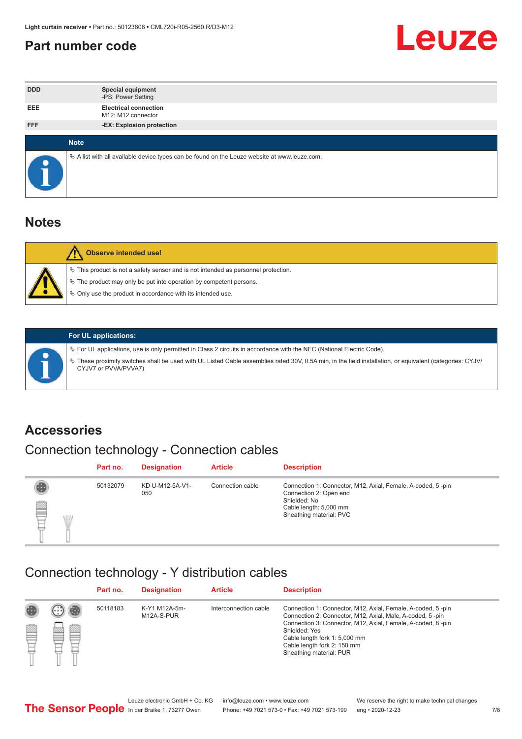#### <span id="page-6-0"></span>**Part number code**



| <b>DDD</b> | <b>Special equipment</b><br>-PS: Power Setting                                                  |
|------------|-------------------------------------------------------------------------------------------------|
| <b>EEE</b> | <b>Electrical connection</b><br>M12: M12 connector                                              |
| <b>FFF</b> | -EX: Explosion protection                                                                       |
|            |                                                                                                 |
|            | <b>Note</b>                                                                                     |
|            | $\&$ A list with all available device types can be found on the Leuze website at www.leuze.com. |

#### **Notes**

| Observe intended use!                                                                                                                                                                                                            |
|----------------------------------------------------------------------------------------------------------------------------------------------------------------------------------------------------------------------------------|
| $\%$ This product is not a safety sensor and is not intended as personnel protection.<br>$\%$ The product may only be put into operation by competent persons.<br>$\%$ Only use the product in accordance with its intended use. |
|                                                                                                                                                                                                                                  |



#### **For UL applications:**

ª For UL applications, use is only permitted in Class 2 circuits in accordance with the NEC (National Electric Code). ª These proximity switches shall be used with UL Listed Cable assemblies rated 30V, 0.5A min, in the field installation, or equivalent (categories: CYJV/ CYJV7 or PVVA/PVVA7)

#### **Accessories**

### Connection technology - Connection cables

|        | Part no. | <b>Designation</b>     | <b>Article</b>   | <b>Description</b>                                                                                                                                         |
|--------|----------|------------------------|------------------|------------------------------------------------------------------------------------------------------------------------------------------------------------|
| 2<br>W | 50132079 | KD U-M12-5A-V1-<br>050 | Connection cable | Connection 1: Connector, M12, Axial, Female, A-coded, 5-pin<br>Connection 2: Open end<br>Shielded: No<br>Cable length: 5,000 mm<br>Sheathing material: PVC |

#### Connection technology - Y distribution cables

|   |          | Part no. | <b>Designation</b>          | <b>Article</b>        | <b>Description</b>                                                                                                                                                                                                                        |
|---|----------|----------|-----------------------------|-----------------------|-------------------------------------------------------------------------------------------------------------------------------------------------------------------------------------------------------------------------------------------|
| ß | ø<br>555 | 50118183 | K-Y1 M12A-5m-<br>M12A-S-PUR | Interconnection cable | Connection 1: Connector, M12, Axial, Female, A-coded, 5-pin<br>Connection 2: Connector, M12, Axial, Male, A-coded, 5-pin<br>Connection 3: Connector, M12, Axial, Female, A-coded, 8-pin<br>Shielded: Yes<br>Cable length fork 1: 5,000 mm |
|   |          |          |                             |                       | Cable length fork 2: 150 mm<br>Sheathing material: PUR                                                                                                                                                                                    |